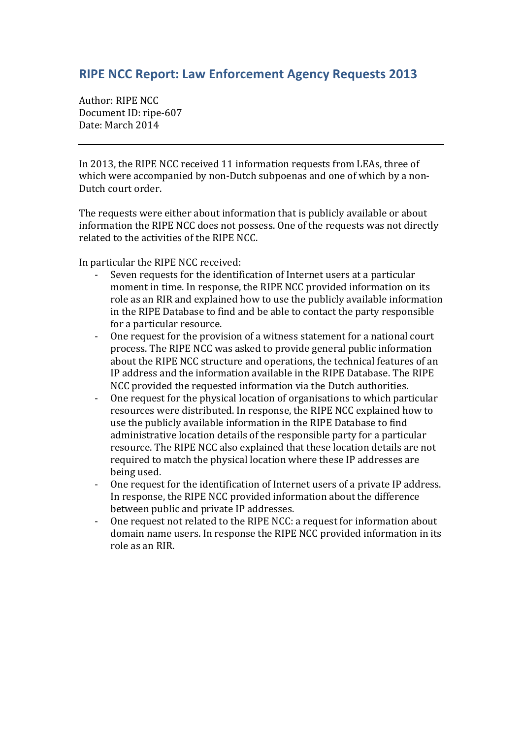## **RIPE NCC Report: Law Enforcement Agency Requests 2013**

Author: RIPE NCC Document ID: ripe-607 Date: March 2014

In 2013, the RIPE NCC received 11 information requests from LEAs, three of which were accompanied by non-Dutch subpoenas and one of which by a non-Dutch court order.

The requests were either about information that is publicly available or about information the RIPE NCC does not possess. One of the requests was not directly related to the activities of the RIPE NCC.

In particular the RIPE NCC received:

- Seven requests for the identification of Internet users at a particular moment in time. In response, the RIPE NCC provided information on its role as an RIR and explained how to use the publicly available information in the RIPE Database to find and be able to contact the party responsible for a particular resource.
- One request for the provision of a witness statement for a national court process. The RIPE NCC was asked to provide general public information about the RIPE NCC structure and operations, the technical features of an IP address and the information available in the RIPE Database. The RIPE NCC provided the requested information via the Dutch authorities.
- One request for the physical location of organisations to which particular resources were distributed. In response, the RIPE NCC explained how to use the publicly available information in the RIPE Database to find administrative location details of the responsible party for a particular resource. The RIPE NCC also explained that these location details are not required to match the physical location where these IP addresses are being used.
- One request for the identification of Internet users of a private IP address. In response, the RIPE NCC provided information about the difference between public and private IP addresses.
- One request not related to the RIPE NCC: a request for information about domain name users. In response the RIPE NCC provided information in its role as an RIR.